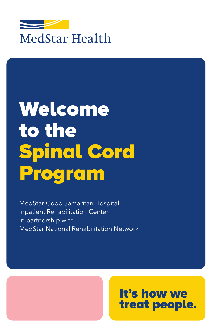

# Welcome to the Spinal Cord Program

MedStar Good Samaritan Hospital Inpatient Rehabilitation Center in partnership with MedStar National Rehabilitation Network

## It's how we treat people.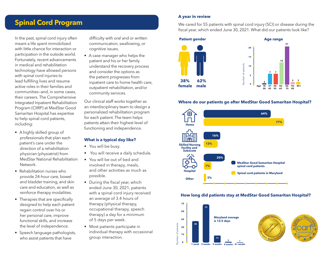### **Spinal Cord Program**

In the past, spinal cord injury often meant a life spent immobilized with little chance for interaction or participation in the outside world. Fortunately, recent advancements in medical and rehabilitation technology have allowed persons with spinal cord injuries to lead fulfilling lives and resume active roles in their families and communities—and, in some cases, their careers. The Comprehensive Integrated Inpatient Rehabilitation Program (CIIRP) at MedStar Good Samaritan Hospital has expertise to help spinal cord patients, including:

- A highly skilled group of professionals that plan each patient's care under the direction of a rehabilitation physician (physiatrist) from MedStar National Rehabilitation Network.
- Rehabilitation nurses who provide 24-hour care, bowel and bladder training, and skin care and education, as well as reinforce therapy modalities.
- Therapies that are specifically designed to help each patient regain control over his or her personal care, improve functional skills, and increase the level of independence.
- Speech language pathologists, who assist patients that have

difficulty with oral and or written communication, swallowing, or cognitive issues.

• A case manager who helps the patient and his or her family understand the recovery process and consider the options as the patient progresses from inpatient care to home health care, outpatient rehabilitation, and/or community services.

Our clinical staff works together as an interdisciplinary team to design a personalized rehabilitation program for each patient. The team helps patients attain their highest level of functioning and independence.

#### **What is a typical day like?**

- You will be busy.
- You will receive a daily schedule.
- You will be out of bed and involved in therapy, meals, and other activities as much as possible.
- During the fiscal year, which ended June 30, 2021, patients with a spinal cord injury received an average of 3.4 hours of therapy (physical therapy, occupational therapy, speech therapy) a day for a minimum of 5 days per week.
- Most patients participate in individual therapy with occasional group interaction.

#### **A year in review**

We cared for 55 patients with spinal cord injury (SCI) or disease during the fiscal year, which ended June 30, 2021. What did our patients look like?



#### **Where do our patients go after MedStar Good Samaritan Hospital?**



#### **How long did patients stay at MedStar Good Samaritan Hospital?**